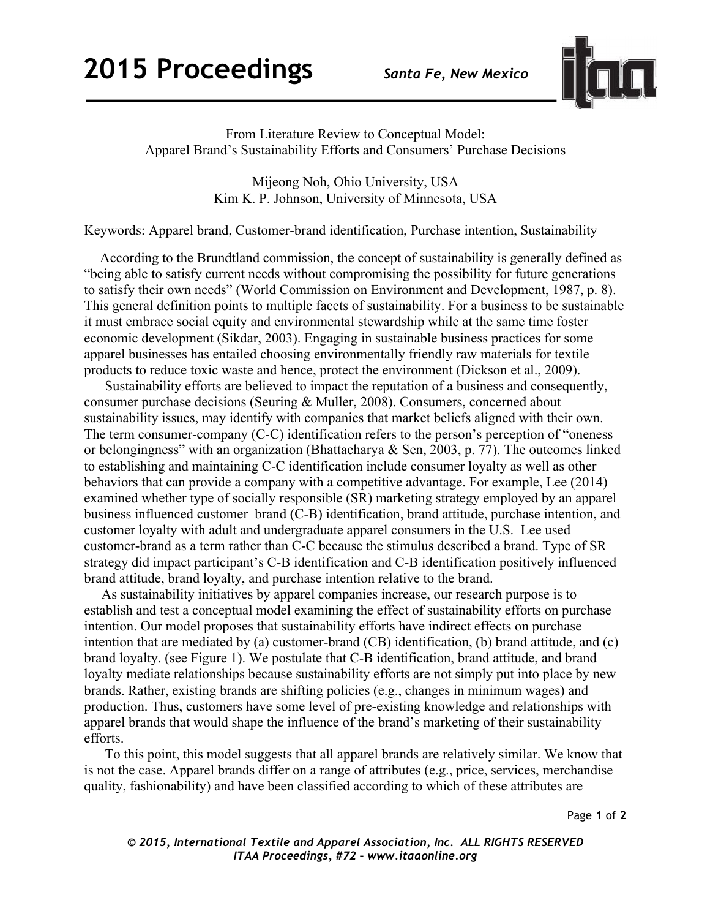

From Literature Review to Conceptual Model: Apparel Brand's Sustainability Efforts and Consumers' Purchase Decisions

> Mijeong Noh, Ohio University, USA Kim K. P. Johnson, University of Minnesota, USA

Keywords: Apparel brand, Customer-brand identification, Purchase intention, Sustainability

 According to the Brundtland commission, the concept of sustainability is generally defined as "being able to satisfy current needs without compromising the possibility for future generations to satisfy their own needs" (World Commission on Environment and Development, 1987, p. 8). This general definition points to multiple facets of sustainability. For a business to be sustainable it must embrace social equity and environmental stewardship while at the same time foster economic development (Sikdar, 2003). Engaging in sustainable business practices for some apparel businesses has entailed choosing environmentally friendly raw materials for textile products to reduce toxic waste and hence, protect the environment (Dickson et al., 2009).

Sustainability efforts are believed to impact the reputation of a business and consequently, consumer purchase decisions (Seuring & Muller, 2008). Consumers, concerned about sustainability issues, may identify with companies that market beliefs aligned with their own. The term consumer-company (C-C) identification refers to the person's perception of "oneness or belongingness" with an organization (Bhattacharya & Sen, 2003, p. 77). The outcomes linked to establishing and maintaining C-C identification include consumer loyalty as well as other behaviors that can provide a company with a competitive advantage. For example, Lee (2014) examined whether type of socially responsible (SR) marketing strategy employed by an apparel business influenced customer–brand (C-B) identification, brand attitude, purchase intention, and customer loyalty with adult and undergraduate apparel consumers in the U.S. Lee used customer-brand as a term rather than C-C because the stimulus described a brand. Type of SR strategy did impact participant's C-B identification and C-B identification positively influenced brand attitude, brand loyalty, and purchase intention relative to the brand.

 As sustainability initiatives by apparel companies increase, our research purpose is to establish and test a conceptual model examining the effect of sustainability efforts on purchase intention. Our model proposes that sustainability efforts have indirect effects on purchase intention that are mediated by (a) customer-brand (CB) identification, (b) brand attitude, and (c) brand loyalty. (see Figure 1). We postulate that C-B identification, brand attitude, and brand loyalty mediate relationships because sustainability efforts are not simply put into place by new brands. Rather, existing brands are shifting policies (e.g., changes in minimum wages) and production. Thus, customers have some level of pre-existing knowledge and relationships with apparel brands that would shape the influence of the brand's marketing of their sustainability efforts.

To this point, this model suggests that all apparel brands are relatively similar. We know that is not the case. Apparel brands differ on a range of attributes (e.g., price, services, merchandise quality, fashionability) and have been classified according to which of these attributes are